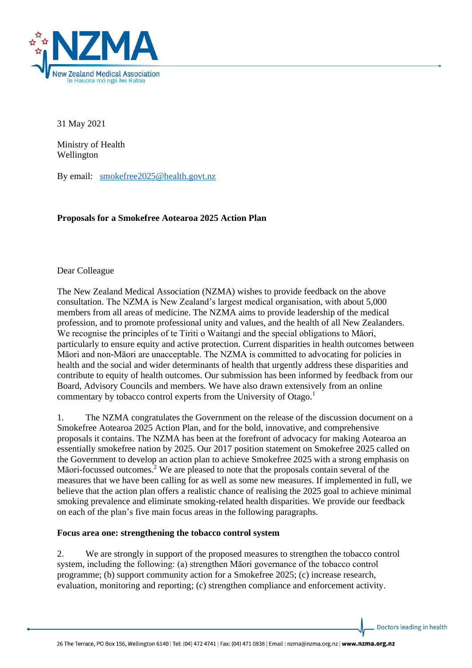

31 May 2021

Ministry of Health Wellington

By email: [smokefree2025@health.govt.nz](mailto:smokefree2025@health.govt.nz)

**Proposals for a Smokefree Aotearoa 2025 Action Plan**

### Dear Colleague

The New Zealand Medical Association (NZMA) wishes to provide feedback on the above consultation. The NZMA is New Zealand's largest medical organisation, with about 5,000 members from all areas of medicine. The NZMA aims to provide leadership of the medical profession, and to promote professional unity and values, and the health of all New Zealanders. We recognise the principles of te Tiriti o Waitangi and the special obligations to Māori, particularly to ensure equity and active protection. Current disparities in health outcomes between Māori and non-Māori are unacceptable. The NZMA is committed to advocating for policies in health and the social and wider determinants of health that urgently address these disparities and contribute to equity of health outcomes. Our submission has been informed by feedback from our Board, Advisory Councils and members. We have also drawn extensively from an online commentary by tobacco control experts from the University of Otago.<sup>1</sup>

1. The NZMA congratulates the Government on the release of the discussion document on a Smokefree Aotearoa 2025 Action Plan, and for the bold, innovative, and comprehensive proposals it contains. The NZMA has been at the forefront of advocacy for making Aotearoa an essentially smokefree nation by 2025. Our 2017 position statement on Smokefree 2025 called on the Government to develop an action plan to achieve Smokefree 2025 with a strong emphasis on Māori-focussed outcomes.<sup>2</sup> We are pleased to note that the proposals contain several of the measures that we have been calling for as well as some new measures. If implemented in full, we believe that the action plan offers a realistic chance of realising the 2025 goal to achieve minimal smoking prevalence and eliminate smoking-related health disparities. We provide our feedback on each of the plan's five main focus areas in the following paragraphs.

#### **Focus area one: strengthening the tobacco control system**

2. We are strongly in support of the proposed measures to strengthen the tobacco control system, including the following: (a) strengthen Māori governance of the tobacco control programme; (b) support community action for a Smokefree 2025; (c) increase research, evaluation, monitoring and reporting; (c) strengthen compliance and enforcement activity.

Doctors leading in health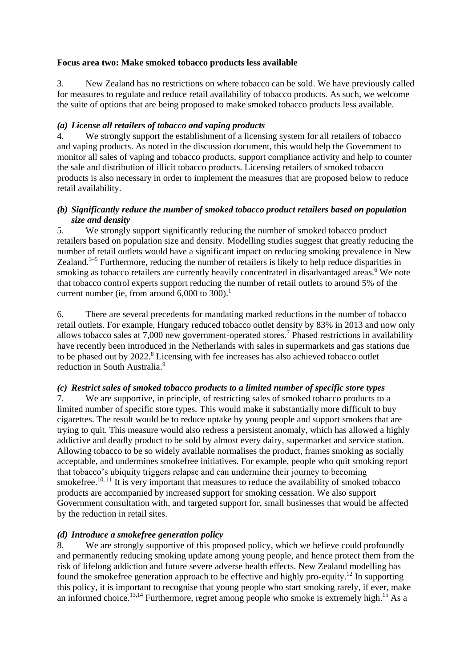#### **Focus area two: Make smoked tobacco products less available**

3. New Zealand has no restrictions on where tobacco can be sold. We have previously called for measures to regulate and reduce retail availability of tobacco products. As such, we welcome the suite of options that are being proposed to make smoked tobacco products less available.

### *(a) License all retailers of tobacco and vaping products*

4. We strongly support the establishment of a licensing system for all retailers of tobacco and vaping products. As noted in the discussion document, this would help the Government to monitor all sales of vaping and tobacco products, support compliance activity and help to counter the sale and distribution of illicit tobacco products. Licensing retailers of smoked tobacco products is also necessary in order to implement the measures that are proposed below to reduce retail availability.

### *(b) Significantly reduce the number of smoked tobacco product retailers based on population size and density*

5. We strongly support significantly reducing the number of smoked tobacco product retailers based on population size and density. Modelling studies suggest that greatly reducing the number of retail outlets would have a significant impact on reducing smoking prevalence in New Zealand.<sup>3-5</sup> Furthermore, reducing the number of retailers is likely to help reduce disparities in smoking as tobacco retailers are currently heavily concentrated in disadvantaged areas.<sup>6</sup> We note that tobacco control experts support reducing the number of retail outlets to around 5% of the current number (ie, from around  $6,000$  to  $300$ ).<sup>1</sup>

6. There are several precedents for mandating marked reductions in the number of tobacco retail outlets. For example, Hungary reduced tobacco outlet density by 83% in 2013 and now only allows tobacco sales at 7,000 new government-operated stores.<sup>7</sup> Phased restrictions in availability have recently been introduced in the Netherlands with sales in supermarkets and gas stations due to be phased out by 2022.<sup>8</sup> Licensing with fee increases has also achieved tobacco outlet reduction in South Australia.<sup>9</sup>

# *(c) Restrict sales of smoked tobacco products to a limited number of specific store types*

7. We are supportive, in principle, of restricting sales of smoked tobacco products to a limited number of specific store types. This would make it substantially more difficult to buy cigarettes. The result would be to reduce uptake by young people and support smokers that are trying to quit. This measure would also redress a persistent anomaly, which has allowed a highly addictive and deadly product to be sold by almost every dairy, supermarket and service station. Allowing tobacco to be so widely available normalises the product, frames smoking as socially acceptable, and undermines smokefree initiatives. For example, people who quit smoking report that tobacco's ubiquity triggers relapse and can undermine their journey to becoming smokefree.<sup>10, 11</sup> It is very important that measures to reduce the availability of smoked tobacco products are accompanied by increased support for smoking cessation. We also support Government consultation with, and targeted support for, small businesses that would be affected by the reduction in retail sites.

# *(d) Introduce a smokefree generation policy*

8. We are strongly supportive of this proposed policy, which we believe could profoundly and permanently reducing smoking update among young people, and hence protect them from the risk of lifelong addiction and future severe adverse health effects. New Zealand modelling has found the smokefree generation approach to be effective and highly pro-equity.<sup>12</sup> In supporting this policy, it is important to recognise that young people who start smoking rarely, if ever, make an informed choice.<sup>13,14</sup> Furthermore, regret among people who smoke is extremely high.<sup>15</sup> As a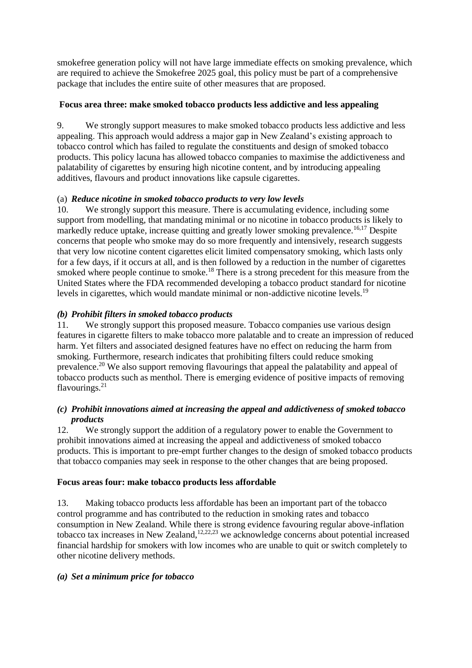smokefree generation policy will not have large immediate effects on smoking prevalence, which are required to achieve the Smokefree 2025 goal, this policy must be part of a comprehensive package that includes the entire suite of other measures that are proposed.

### **Focus area three: make smoked tobacco products less addictive and less appealing**

9. We strongly support measures to make smoked tobacco products less addictive and less appealing. This approach would address a major gap in New Zealand's existing approach to tobacco control which has failed to regulate the constituents and design of smoked tobacco products. This policy lacuna has allowed tobacco companies to maximise the addictiveness and palatability of cigarettes by ensuring high nicotine content, and by introducing appealing additives, flavours and product innovations like capsule cigarettes.

### (a) *Reduce nicotine in smoked tobacco products to very low levels*

10. We strongly support this measure. There is accumulating evidence, including some support from modelling, that mandating minimal or no nicotine in tobacco products is likely to markedly reduce uptake, increase quitting and greatly lower smoking prevalence.<sup>16,17</sup> Despite concerns that people who smoke may do so more frequently and intensively, research suggests that very low nicotine content cigarettes elicit limited compensatory smoking, which lasts only for a few days, if it occurs at all, and is then followed by a reduction in the number of cigarettes smoked where people continue to smoke.<sup>18</sup> There is a strong precedent for this measure from the United States where the FDA recommended developing a tobacco product standard for nicotine levels in cigarettes, which would mandate minimal or non-addictive nicotine levels.<sup>19</sup>

# *(b) Prohibit filters in smoked tobacco products*

11. We strongly support this proposed measure. Tobacco companies use various design features in cigarette filters to make tobacco more palatable and to create an impression of reduced harm. Yet filters and associated designed features have no effect on reducing the harm from smoking. Furthermore, research indicates that prohibiting filters could reduce smoking prevalence.<sup>20</sup> We also support removing flavourings that appeal the palatability and appeal of tobacco products such as menthol. There is emerging evidence of positive impacts of removing flavourings. 21

### *(c) Prohibit innovations aimed at increasing the appeal and addictiveness of smoked tobacco products*

12. We strongly support the addition of a regulatory power to enable the Government to prohibit innovations aimed at increasing the appeal and addictiveness of smoked tobacco products. This is important to pre-empt further changes to the design of smoked tobacco products that tobacco companies may seek in response to the other changes that are being proposed.

# **Focus areas four: make tobacco products less affordable**

13. Making tobacco products less affordable has been an important part of the tobacco control programme and has contributed to the reduction in smoking rates and tobacco consumption in New Zealand. While there is strong evidence favouring regular above-inflation tobacco tax increases in New Zealand, $12,22,23$  we acknowledge concerns about potential increased financial hardship for smokers with low incomes who are unable to quit or switch completely to other nicotine delivery methods.

# *(a) Set a minimum price for tobacco*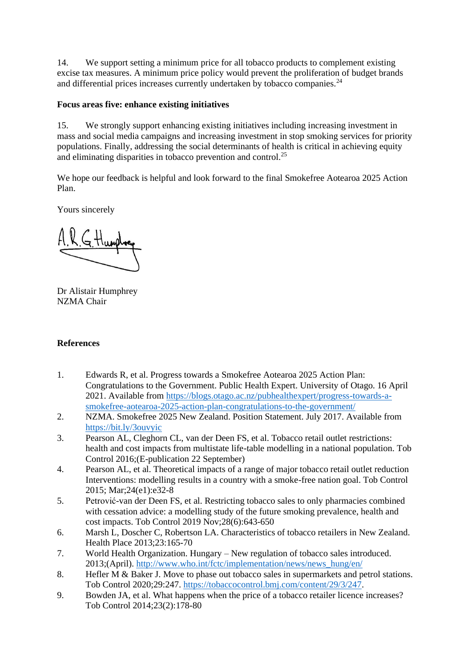14. We support setting a minimum price for all tobacco products to complement existing excise tax measures. A minimum price policy would prevent the proliferation of budget brands and differential prices increases currently undertaken by tobacco companies.<sup>24</sup>

### **Focus areas five: enhance existing initiatives**

15. We strongly support enhancing existing initiatives including increasing investment in mass and social media campaigns and increasing investment in stop smoking services for priority populations. Finally, addressing the social determinants of health is critical in achieving equity and eliminating disparities in tobacco prevention and control.<sup>25</sup>

We hope our feedback is helpful and look forward to the final Smokefree Aotearoa 2025 Action Plan.

Yours sincerely

G. Humph

Dr Alistair Humphrey NZMA Chair

#### **References**

- 1. Edwards R, et al. Progress towards a Smokefree Aotearoa 2025 Action Plan: Congratulations to the Government. Public Health Expert. University of Otago. 16 April 2021. Available from [https://blogs.otago.ac.nz/pubhealthexpert/progress-towards-a](https://blogs.otago.ac.nz/pubhealthexpert/progress-towards-a-smokefree-aotearoa-2025-action-plan-congratulations-to-the-government/)[smokefree-aotearoa-2025-action-plan-congratulations-to-the-government/](https://blogs.otago.ac.nz/pubhealthexpert/progress-towards-a-smokefree-aotearoa-2025-action-plan-congratulations-to-the-government/)
- 2. NZMA. Smokefree 2025 New Zealand. Position Statement. July 2017. Available from <https://bit.ly/3ouvyic>
- 3. Pearson AL, Cleghorn CL, van der Deen FS, et al. Tobacco retail outlet restrictions: health and cost impacts from multistate life-table modelling in a national population. Tob Control 2016;(E-publication 22 September)
- 4. Pearson AL, et al. Theoretical impacts of a range of major tobacco retail outlet reduction Interventions: modelling results in a country with a smoke-free nation goal. Tob Control 2015; Mar;24(e1):e32-8
- 5. Petrović-van der Deen FS, et al. Restricting tobacco sales to only pharmacies combined with cessation advice: a modelling study of the future smoking prevalence, health and cost impacts. Tob Control 2019 Nov;28(6):643-650
- 6. Marsh L, Doscher C, Robertson LA. Characteristics of tobacco retailers in New Zealand. Health Place 2013;23:165-70
- 7. World Health Organization. Hungary New regulation of tobacco sales introduced. 2013;(April). [http://www.who.int/fctc/implementation/news/news\\_hung/en/](http://www.who.int/fctc/implementation/news/news_hung/en/)
- 8. Hefler M & Baker J. Move to phase out tobacco sales in supermarkets and petrol stations. Tob Control 2020;29:247. [https://tobaccocontrol.bmj.com/content/29/3/247.](https://tobaccocontrol.bmj.com/content/29/3/247)
- 9. Bowden JA, et al. What happens when the price of a tobacco retailer licence increases? Tob Control 2014;23(2):178-80